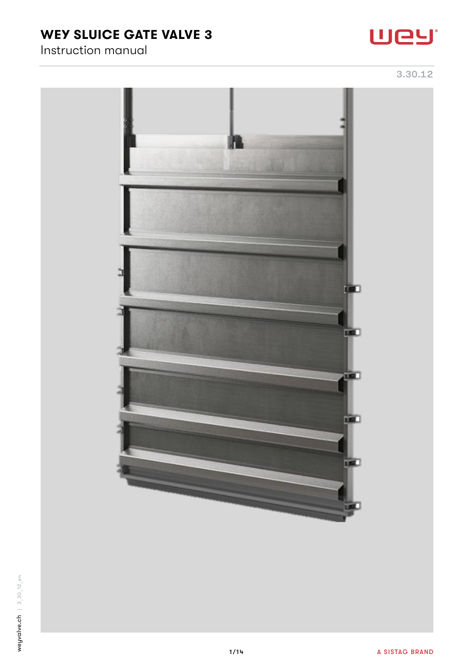# WEY SLUICE GATE VALVE 3

# Instruction manual







œ

**IRE** 

is.

**TEL**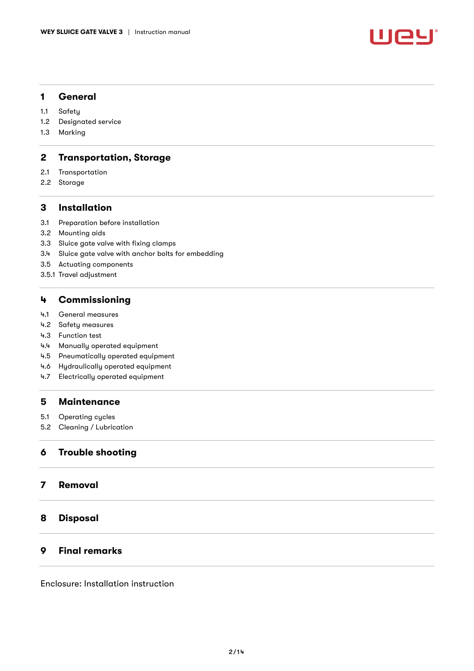

## 1 [General](#page-2-0)

- 1.1 [Safety](#page-2-1)
- 1.2 [Designated service](#page-2-2)
- 1.3 [Marking](#page-2-3)

## 2 [Transportation, Storage](#page-2-4)

- 2.1 [Transportation](#page-2-5)
- 2.2 [Storage](#page-3-0)

## 3 [Installation](#page-3-1)

- 3.1 [Preparation before installation](#page-3-2)
- 3.2 [Mounting aids](#page-3-3)
- 3.3 [Sluice gate valve with fixing clamps](#page-4-0)
- 3.4 [Sluice gate valve with anchor bolts for embedding](#page-6-0)
- 3.5 [Actuating components](#page-7-0)
- 3.5.1 [Travel adjustment](#page-8-0)

## 4 [Commissioning](#page-8-1)

- 4.1 [General measures](#page-8-2)
- 4.2 [Safety measures](#page-9-0)
- 4.3 [Function test](#page-9-1)
- 4.4 [Manually operated equipment](#page-9-2)
- 4.5 [Pneumatically operated equipment](#page-9-3)
- 4.6 [Hydraulically operated equipment](#page-10-0)
- 4.7 [Electrically operated equipment](#page-10-1)

## 5 [Maintenance](#page-11-0)

- 5.1 [Operating cycles](#page-11-1)
- 5.2 [Cleaning / Lubrication](#page-11-2)

## 6 [Trouble shooting](#page-12-0)

## 7 [Removal](#page-13-0)

## 8 [Disposal](#page-13-1)

## 9 [Final remarks](#page-13-2)

Enclosure: Installation instruction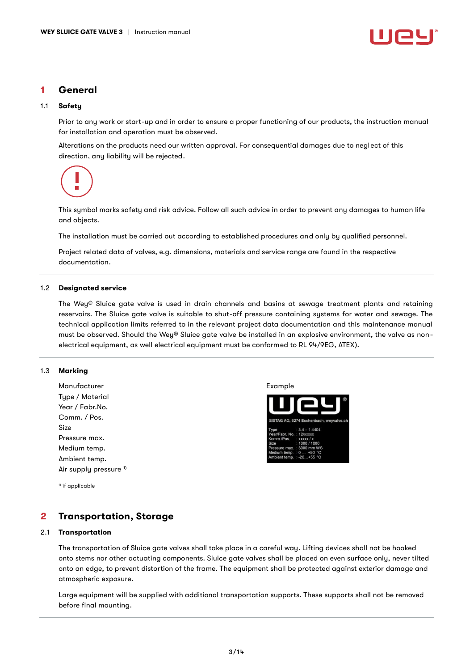

## <span id="page-2-0"></span>1 General

#### <span id="page-2-1"></span>1.1 Safety

Prior to any work or start-up and in order to ensure a proper functioning of our products, the instruction manual for installation and operation must be observed.

Alterations on the products need our written approval. For consequential damages due to neglect of this direction, any liability will be rejected.

This symbol marks safety and risk advice. Follow all such advice in order to prevent any damages to human life and objects.

The installation must be carried out according to established procedures and only by qualified personnel.

Project related data of valves, e.g. dimensions, materials and service range are found in the respective documentation.

#### <span id="page-2-2"></span>1.2 Designated service

Ē.

The Wey® Sluice gate valve is used in drain channels and basins at sewage treatment plants and retaining reservoirs. The Sluice gate valve is suitable to shut-off pressure containing systems for water and sewage. The technical application limits referred to in the relevant project data documentation and this maintenance manual must be observed. Should the Wey® Sluice gate valve be installed in an explosive environment, the valve as nonelectrical equipment, as well electrical equipment must be conformed to RL 94/9EG, ATEX).

#### <span id="page-2-3"></span>1.3 Marking

Manufacturer **Example** Type / Material Year / Fabr.No. Comm. / Pos. Size Pressure max. Medium temp. Ambient temp. Air supply pressure <sup>1)</sup>

<sup>1)</sup> if applicable

## <span id="page-2-4"></span>2 Transportation, Storage

#### <span id="page-2-5"></span>2.1 Transportation

The transportation of Sluice gate valves shall take place in a careful way. Lifting devices shall not be hooked onto stems nor other actuating components. Sluice gate valves shall be placed on even surface only, never tilted onto an edge, to prevent distortion of the frame. The equipment shall be protected against exterior damage and atmospheric exposure.

Large equipment will be supplied with additional transportation supports. These supports shall not be removed before final mounting.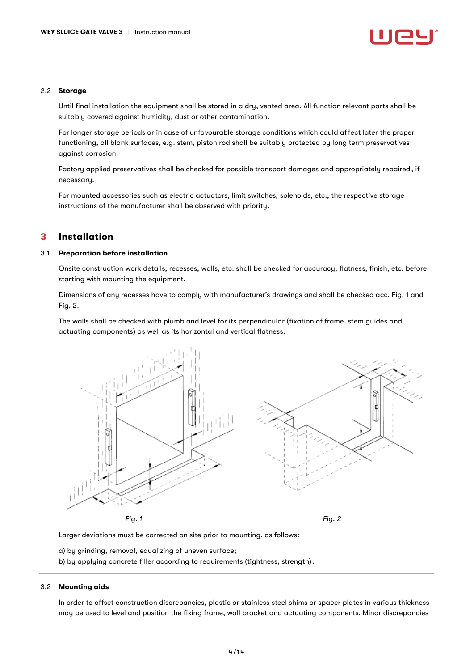#### <span id="page-3-0"></span>2.2 Storage

Until final installation the equipment shall be stored in a dry, vented area. All function relevant parts shall be suitably covered against humidity, dust or other contamination.

For longer storage periods or in case of unfavourable storage conditions which could affect later the proper functioning, all blank surfaces, e.g. stem, piston rod shall be suitably protected by long term preservatives against corrosion.

Factory applied preservatives shall be checked for possible transport damages and appropriately repaired, if necessary.

For mounted accessories such as electric actuators, limit switches, solenoids, etc., the respective storage instructions of the manufacturer shall be observed with priority.

## <span id="page-3-1"></span>3 Installation

### <span id="page-3-2"></span>3.1 Preparation before installation

Onsite construction work details, recesses, walls, etc. shall be checked for accuracy, flatness, finish, etc. before starting with mounting the equipment.

Dimensions of any recesses have to comply with manufacturer's drawings and shall be checked acc. Fig. 1 and Fig. 2.

The walls shall be checked with plumb and level for its perpendicular (fixation of frame, stem guides and actuating components) as well as its horizontal and vertical flatness.



Larger deviations must be corrected on site prior to mounting, as follows:

a) by grinding, removal, equalizing of uneven surface;

b) by applying concrete filler according to requirements (tightness, strength).

#### <span id="page-3-3"></span>3.2 Mounting aids

In order to offset construction discrepancies, plastic or stainless steel shims or spacer plates in various thickness may be used to level and position the fixing frame, wall bracket and actuating components. Minor discrepancies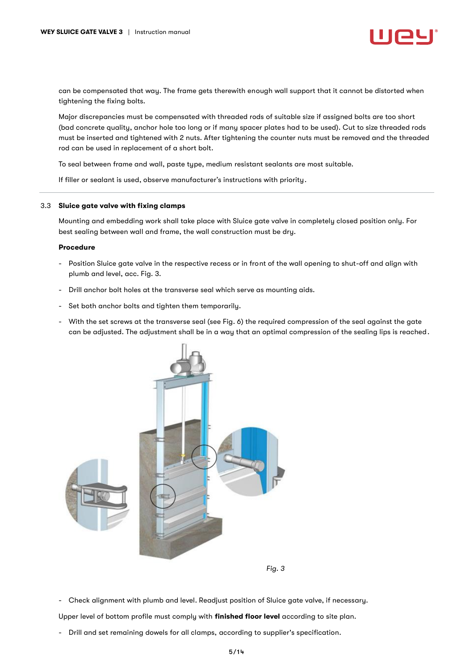can be compensated that way. The frame gets therewith enough wall support that it cannot be distorted when tightening the fixing bolts.

Major discrepancies must be compensated with threaded rods of suitable size if assigned bolts are too short (bad concrete quality, anchor hole too long or if many spacer plates had to be used). Cut to size threaded rods must be inserted and tightened with 2 nuts. After tightening the counter nuts must be removed and the threaded rod can be used in replacement of a short bolt.

To seal between frame and wall, paste type, medium resistant sealants are most suitable.

If filler or sealant is used, observe manufacturer's instructions with priority.

#### <span id="page-4-0"></span>3.3 Sluice gate valve with fixing clamps

Mounting and embedding work shall take place with Sluice gate valve in completely closed position only. For best sealing between wall and frame, the wall construction must be dry.

#### Procedure

- Position Sluice gate valve in the respective recess or in front of the wall opening to shut-off and align with plumb and level, acc. Fig. 3.
- Drill anchor bolt holes at the transverse seal which serve as mounting aids.
- Set both anchor bolts and tighten them temporarily.
- With the set screws at the transverse seal (see Fig. 6) the required compression of the seal against the gate can be adjusted. The adjustment shall be in a way that an optimal compression of the sealing lips is reached.



*Fig. 3*

- Check alignment with plumb and level. Readjust position of Sluice gate valve, if necessary.

Upper level of bottom profile must comply with finished floor level according to site plan.

- Drill and set remaining dowels for all clamps, according to supplier's specification.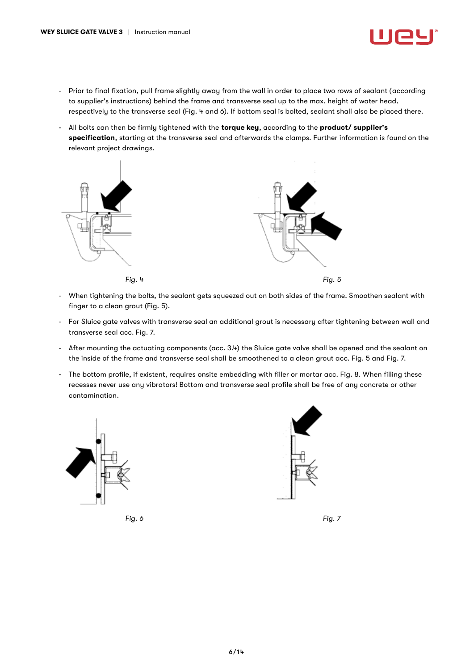- Prior to final fixation, pull frame slightly away from the wall in order to place two rows of sealant (according to supplier's instructions) behind the frame and transverse seal up to the max. height of water head, respectively to the transverse seal (Fig. 4 and 6). If bottom seal is bolted, sealant shall also be placed there.
- All bolts can then be firmly tightened with the torque key, according to the product/ supplier's specification, starting at the transverse seal and afterwards the clamps. Further information is found on the relevant project drawings.



- When tightening the bolts, the sealant gets squeezed out on both sides of the frame. Smoothen sealant with finger to a clean grout (Fig. 5).
- For Sluice gate valves with transverse seal an additional grout is necessary after tightening between wall and transverse seal acc. Fig. 7.
- After mounting the actuating components (acc. 3.4) the Sluice gate valve shall be opened and the sealant on the inside of the frame and transverse seal shall be smoothened to a clean grout acc. Fig. 5 and Fig. 7.
- The bottom profile, if existent, requires onsite embedding with filler or mortar acc. Fig. 8. When filling these recesses never use any vibrators! Bottom and transverse seal profile shall be free of any concrete or other contamination.





*Fig. 6 Fig. 7*

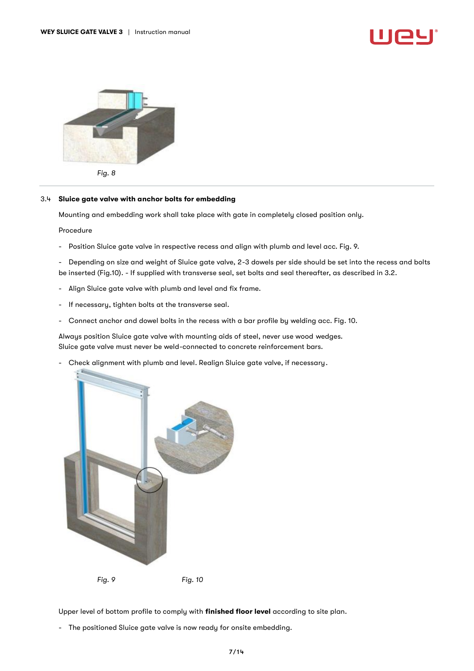



*Fig. 8*

#### <span id="page-6-0"></span>3.4 Sluice gate valve with anchor bolts for embedding

Mounting and embedding work shall take place with gate in completely closed position only.

Procedure

- Position Sluice gate valve in respective recess and align with plumb and level acc. Fig. 9.
- Depending on size and weight of Sluice gate valve, 2-3 dowels per side should be set into the recess and bolts be inserted (Fig.10). - If supplied with transverse seal, set bolts and seal thereafter, as described in 3.2.
- Align Sluice gate valve with plumb and level and fix frame.
- If necessary, tighten bolts at the transverse seal.
- Connect anchor and dowel bolts in the recess with a bar profile by welding acc. Fig. 10.

Always position Sluice gate valve with mounting aids of steel, never use wood wedges. Sluice gate valve must never be weld-connected to concrete reinforcement bars.

- Check alignment with plumb and level. Realign Sluice gate valve, if necessary.



Upper level of bottom profile to comply with finished floor level according to site plan.

- The positioned Sluice gate valve is now ready for onsite embedding.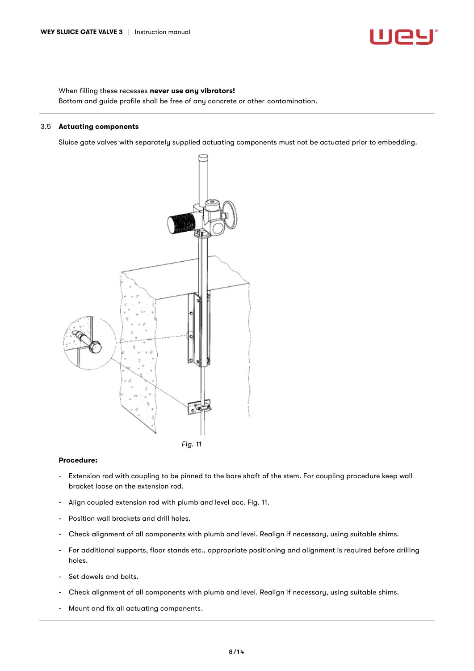

When filling these recesses never use any vibrators! Bottom and guide profile shall be free of any concrete or other contamination.

#### <span id="page-7-0"></span>3.5 Actuating components

Sluice gate valves with separately supplied actuating components must not be actuated prior to embedding.



#### Procedure:

- Extension rod with coupling to be pinned to the bare shaft of the stem. For coupling procedure keep wall bracket loose on the extension rod.
- Align coupled extension rod with plumb and level acc. Fig. 11.
- Position wall brackets and drill holes.
- Check alignment of all components with plumb and level. Realign if necessary, using suitable shims.
- For additional supports, floor stands etc., appropriate positioning and alignment is required before drilling holes.
- Set dowels and bolts.
- Check alignment of all components with plumb and level. Realign if necessary, using suitable shims.
- Mount and fix all actuating components.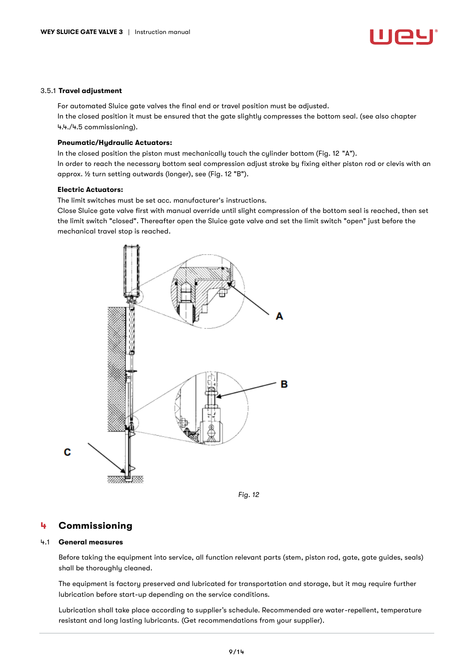

#### <span id="page-8-0"></span>3.5.1 Travel adjustment

For automated Sluice gate valves the final end or travel position must be adjusted. In the closed position it must be ensured that the gate slightly compresses the bottom seal. (see also chapter 4.4./4.5 commissioning).

#### Pneumatic/Hydraulic Actuators:

In the closed position the piston must mechanically touch the cylinder bottom (Fig. 12 "A"). In order to reach the necessary bottom seal compression adjust stroke by fixing either piston rod or clevis with an approx. ½ turn setting outwards (longer), see (Fig. 12 "B").

#### Electric Actuators:

The limit switches must be set acc. manufacturer's instructions.

Close Sluice gate valve first with manual override until slight compression of the bottom seal is reached, then set the limit switch "closed". Thereafter open the Sluice gate valve and set the limit switch "open" just before the mechanical travel stop is reached.



*Fig. 12*

## <span id="page-8-1"></span>4 Commissioning

#### <span id="page-8-2"></span>4.1 General measures

Before taking the equipment into service, all function relevant parts (stem, piston rod, gate, gate guides, seals) shall be thoroughly cleaned.

The equipment is factory preserved and lubricated for transportation and storage, but it may require further lubrication before start-up depending on the service conditions.

Lubrication shall take place according to supplier's schedule. Recommended are water-repellent, temperature resistant and long lasting lubricants. (Get recommendations from your supplier).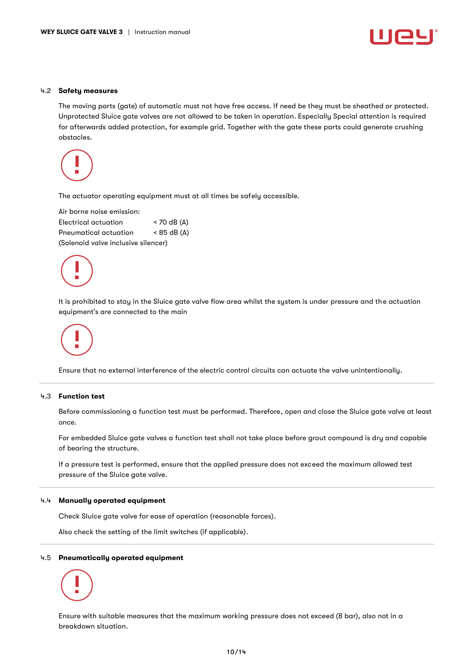

#### <span id="page-9-0"></span>4.2 Safety measures

The moving parts (gate) of automatic must not have free access. If need be they must be sheathed or protected. Unprotected Sluice gate valves are not allowed to be taken in operation. Especially Special attention is required for afterwards added protection, for example grid. Together with the gate these parts could generate crushing obstacles.



The actuator operating equipment must at all times be safely accessible.

| Air borne noise emission:           |               |  |
|-------------------------------------|---------------|--|
| Electrical actuation                | $<$ 70 dB (A) |  |
| Pneumatical actuation               | $<$ 85 dB (A) |  |
| (Solenoid valve inclusive silencer) |               |  |



It is prohibited to stay in the Sluice gate valve flow area whilst the system is under pressure and the actuation equipment's are connected to the main

Ensure that no external interference of the electric control circuits can actuate the valve unintentionally.

### <span id="page-9-1"></span>4.3 Function test

Before commissioning a function test must be performed. Therefore, open and close the Sluice gate valve at least once.

For embedded Sluice gate valves a function test shall not take place before grout compound is dry and capable of bearing the structure.

If a pressure test is performed, ensure that the applied pressure does not exceed the maximum allowed test pressure of the Sluice gate valve.

### <span id="page-9-2"></span>4.4 Manually operated equipment

Check Sluice gate valve for ease of operation (reasonable forces).

Also check the setting of the limit switches (if applicable).

### <span id="page-9-3"></span>4.5 Pneumatically operated equipment

Ensure with suitable measures that the maximum working pressure does not exceed (8 bar), also not in a breakdown situation.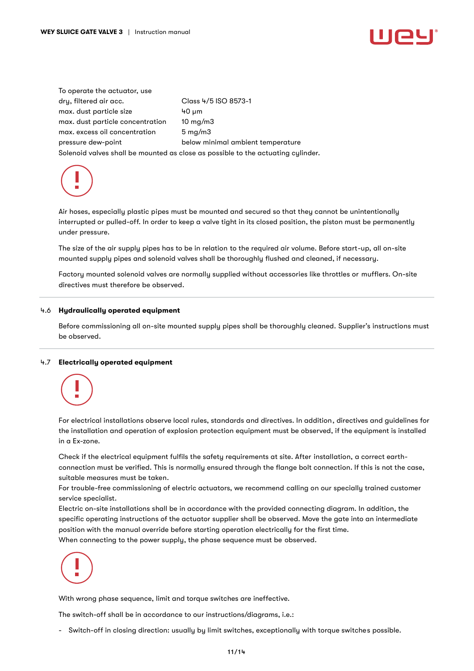To operate the actuator, use dry, filtered air acc. Class 4/5 ISO 8573-1 max. dust particle size 40 µm max. dust particle concentration 10 mg/m3 max. excess oil concentration 5 mg/m3 pressure dew-point below minimal ambient temperature Solenoid valves shall be mounted as close as possible to the actuating cylinder.



Air hoses, especially plastic pipes must be mounted and secured so that they cannot be unintentionally interrupted or pulled-off. In order to keep a valve tight in its closed position, the piston must be permanently under pressure.

The size of the air supply pipes has to be in relation to the required air volume. Before start-up, all on-site mounted supply pipes and solenoid valves shall be thoroughly flushed and cleaned, if necessary.

Factory mounted solenoid valves are normally supplied without accessories like throttles or mufflers. On-site directives must therefore be observed.

### <span id="page-10-0"></span>4.6 Hydraulically operated equipment

Before commissioning all on-site mounted supply pipes shall be thoroughly cleaned. Supplier's instructions must be observed.

#### <span id="page-10-1"></span>4.7 Electrically operated equipment



For electrical installations observe local rules, standards and directives. In addition, directives and guidelines for the installation and operation of explosion protection equipment must be observed, if the equipment is installed in a Ex-zone.

Check if the electrical equipment fulfils the safety requirements at site. After installation, a correct earthconnection must be verified. This is normally ensured through the flange bolt connection. If this is not the case, suitable measures must be taken.

For trouble-free commissioning of electric actuators, we recommend calling on our specially trained customer service specialist.

Electric on-site installations shall be in accordance with the provided connecting diagram. In addition, the specific operating instructions of the actuator supplier shall be observed. Move the gate into an intermediate position with the manual override before starting operation electrically for the first time. When connecting to the power supply, the phase sequence must be observed.



With wrong phase sequence, limit and torque switches are ineffective.

The switch-off shall be in accordance to our instructions/diagrams, i.e.:

- Switch-off in closing direction: usually by limit switches, exceptionally with torque switches possible.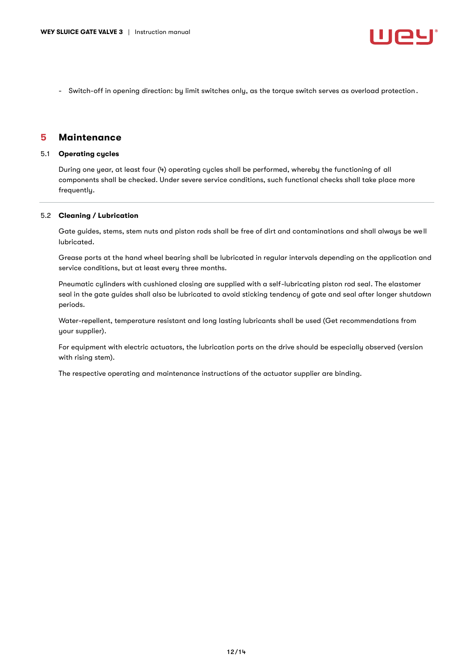- Switch-off in opening direction: by limit switches only, as the torque switch serves as overload protection.

## <span id="page-11-0"></span>5 Maintenance

#### <span id="page-11-1"></span>5.1 Operating cycles

During one year, at least four (4) operating cycles shall be performed, whereby the functioning of all components shall be checked. Under severe service conditions, such functional checks shall take place more frequently.

### <span id="page-11-2"></span>5.2 Cleaning / Lubrication

Gate guides, stems, stem nuts and piston rods shall be free of dirt and contaminations and shall always be well lubricated.

Grease ports at the hand wheel bearing shall be lubricated in regular intervals depending on the application and service conditions, but at least every three months.

Pneumatic cylinders with cushioned closing are supplied with a self-lubricating piston rod seal. The elastomer seal in the gate guides shall also be lubricated to avoid sticking tendency of gate and seal after longer shutdown periods.

Water-repellent, temperature resistant and long lasting lubricants shall be used (Get recommendations from your supplier).

For equipment with electric actuators, the lubrication ports on the drive should be especially observed (version with rising stem).

The respective operating and maintenance instructions of the actuator supplier are binding.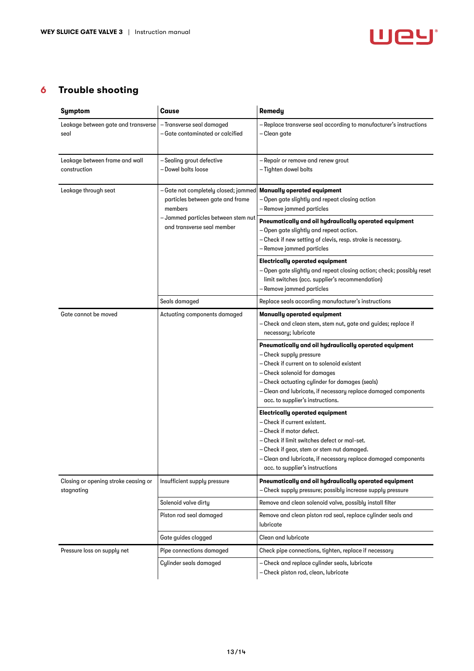

## <span id="page-12-0"></span>6 Trouble shooting

| Symptom                                            | Cause                                                                                                                                                    | <b>Remedu</b>                                                                                                                                                                                                                                                                                                           |
|----------------------------------------------------|----------------------------------------------------------------------------------------------------------------------------------------------------------|-------------------------------------------------------------------------------------------------------------------------------------------------------------------------------------------------------------------------------------------------------------------------------------------------------------------------|
| Leakage between gate and transverse<br>seal        | - Transverse seal damaged<br>-Gate contaminated or calcified                                                                                             | - Replace transverse seal according to manufacturer's instructions<br>– Clean gate                                                                                                                                                                                                                                      |
| Leakage between frame and wall<br>construction     | - Sealing grout defective<br>- Dowel bolts loose                                                                                                         | - Repair or remove and renew grout<br>-Tighten dowel bolts                                                                                                                                                                                                                                                              |
| Leakage through seat                               | - Gate not completely closed; jammed<br>particles between gate and frame<br>members<br>- Jammed particles between stem nut<br>and transverse seal member | <b>Manually operated equipment</b><br>- Open gate slightly and repeat closing action<br>- Remove jammed particles                                                                                                                                                                                                       |
|                                                    |                                                                                                                                                          | Pneumatically and oil hydraulically operated equipment<br>- Open gate slightly and repeat action.<br>- Check if new setting of clevis, resp. stroke is necessary.<br>- Remove jammed particles                                                                                                                          |
|                                                    |                                                                                                                                                          | <b>Electrically operated equipment</b><br>- Open gate slightly and repeat closing action; check; possibly reset<br>limit switches (acc. supplier's recommendation)<br>- Remove jammed particles                                                                                                                         |
|                                                    | Seals damaged                                                                                                                                            | Replace seals according manufacturer's instructions                                                                                                                                                                                                                                                                     |
| Gate cannot be moved                               | Actuating components damaged                                                                                                                             | <b>Manually operated equipment</b><br>- Check and clean stem, stem nut, gate and guides; replace if<br>necessary; lubricate                                                                                                                                                                                             |
|                                                    |                                                                                                                                                          | Pneumatically and oil hydraulically operated equipment<br>- Check supply pressure<br>- Check if current on to solenoid existent<br>- Check solenoid for damages<br>- Check actuating cylinder for damages (seals)<br>- Clean and lubricate, if necessary replace damaged components<br>acc. to supplier's instructions. |
|                                                    |                                                                                                                                                          | <b>Electrically operated equipment</b><br>- Check if current existent.<br>- Check if motor defect.<br>- Check if limit switches defect or mal-set.<br>- Check if gear, stem or stem nut damaged.<br>- Clean and lubricate, if necessary replace damaged components<br>acc. to supplier's instructions                   |
| Closing or opening stroke ceasing or<br>stagnating | Insufficient supply pressure                                                                                                                             | Pneumatically and oil hydraulically operated equipment<br>- Check supply pressure; possibly increase supply pressure                                                                                                                                                                                                    |
|                                                    | Solenoid valve dirty                                                                                                                                     | Remove and clean solenoid valve, possibly install filter                                                                                                                                                                                                                                                                |
|                                                    | Piston rod seal damaged                                                                                                                                  | Remove and clean piston rod seal, replace cylinder seals and<br>lubricate                                                                                                                                                                                                                                               |
|                                                    | Gate guides clogged                                                                                                                                      | <b>Clean and lubricate</b>                                                                                                                                                                                                                                                                                              |
| Pressure loss on supply net                        | Pipe connections damaged                                                                                                                                 | Check pipe connections, tighten, replace if necessary                                                                                                                                                                                                                                                                   |
|                                                    | Cylinder seals damaged                                                                                                                                   | - Check and replace cylinder seals, lubricate<br>- Check piston rod, clean, lubricate                                                                                                                                                                                                                                   |